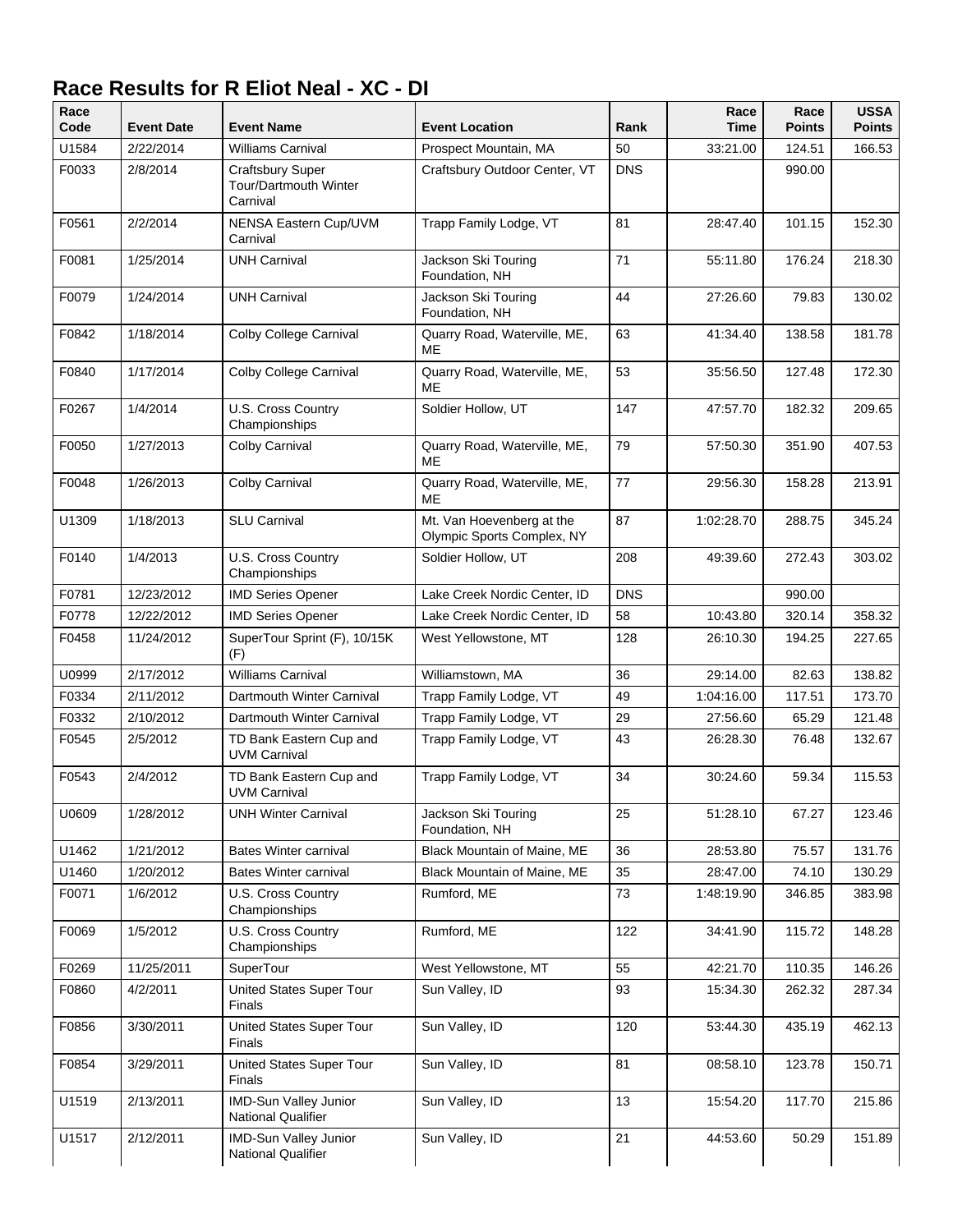## **Race Results for R Eliot Neal - XC - DI**

| Race<br>Code | <b>Event Date</b> | <b>Event Name</b>                                            | <b>Event Location</b>                                   | Rank       | Race<br>Time | Race<br><b>Points</b> | <b>USSA</b><br><b>Points</b> |
|--------------|-------------------|--------------------------------------------------------------|---------------------------------------------------------|------------|--------------|-----------------------|------------------------------|
| U1584        | 2/22/2014         | <b>Williams Carnival</b>                                     | Prospect Mountain, MA                                   | 50         | 33:21.00     | 124.51                | 166.53                       |
| F0033        | 2/8/2014          | <b>Craftsbury Super</b><br>Tour/Dartmouth Winter<br>Carnival | Craftsbury Outdoor Center, VT                           | <b>DNS</b> |              | 990.00                |                              |
| F0561        | 2/2/2014          | NENSA Eastern Cup/UVM<br>Carnival                            | Trapp Family Lodge, VT                                  | 81         | 28:47.40     | 101.15                | 152.30                       |
| F0081        | 1/25/2014         | <b>UNH Carnival</b>                                          | Jackson Ski Touring<br>Foundation, NH                   | 71         | 55:11.80     | 176.24                | 218.30                       |
| F0079        | 1/24/2014         | <b>UNH Carnival</b>                                          | Jackson Ski Touring<br>Foundation, NH                   | 44         | 27:26.60     | 79.83                 | 130.02                       |
| F0842        | 1/18/2014         | Colby College Carnival                                       | Quarry Road, Waterville, ME,<br>ME                      | 63         | 41:34.40     | 138.58                | 181.78                       |
| F0840        | 1/17/2014         | Colby College Carnival                                       | Quarry Road, Waterville, ME,<br>ME                      | 53         | 35:56.50     | 127.48                | 172.30                       |
| F0267        | 1/4/2014          | U.S. Cross Country<br>Championships                          | Soldier Hollow, UT                                      | 147        | 47:57.70     | 182.32                | 209.65                       |
| F0050        | 1/27/2013         | Colby Carnival                                               | Quarry Road, Waterville, ME,<br>ME                      | 79         | 57:50.30     | 351.90                | 407.53                       |
| F0048        | 1/26/2013         | Colby Carnival                                               | Quarry Road, Waterville, ME,<br>ME                      | 77         | 29:56.30     | 158.28                | 213.91                       |
| U1309        | 1/18/2013         | <b>SLU Carnival</b>                                          | Mt. Van Hoevenberg at the<br>Olympic Sports Complex, NY | 87         | 1:02:28.70   | 288.75                | 345.24                       |
| F0140        | 1/4/2013          | U.S. Cross Country<br>Championships                          | Soldier Hollow, UT                                      | 208        | 49:39.60     | 272.43                | 303.02                       |
| F0781        | 12/23/2012        | <b>IMD Series Opener</b>                                     | Lake Creek Nordic Center, ID                            | <b>DNS</b> |              | 990.00                |                              |
| F0778        | 12/22/2012        | <b>IMD Series Opener</b>                                     | Lake Creek Nordic Center, ID                            | 58         | 10:43.80     | 320.14                | 358.32                       |
| F0458        | 11/24/2012        | SuperTour Sprint (F), 10/15K<br>(F)                          | West Yellowstone, MT                                    | 128        | 26:10.30     | 194.25                | 227.65                       |
| U0999        | 2/17/2012         | <b>Williams Carnival</b>                                     | Williamstown, MA                                        | 36         | 29:14.00     | 82.63                 | 138.82                       |
| F0334        | 2/11/2012         | Dartmouth Winter Carnival                                    | Trapp Family Lodge, VT                                  | 49         | 1:04:16.00   | 117.51                | 173.70                       |
| F0332        | 2/10/2012         | Dartmouth Winter Carnival                                    | Trapp Family Lodge, VT                                  | 29         | 27:56.60     | 65.29                 | 121.48                       |
| F0545        | 2/5/2012          | TD Bank Eastern Cup and<br><b>UVM Carnival</b>               | Trapp Family Lodge, VT                                  | 43         | 26:28.30     | 76.48                 | 132.67                       |
| F0543        | 2/4/2012          | TD Bank Eastern Cup and<br><b>UVM Carnival</b>               | Trapp Family Lodge, VT                                  | 34         | 30:24.60     | 59.34                 | 115.53                       |
| U0609        | 1/28/2012         | <b>UNH Winter Carnival</b>                                   | Jackson Ski Touring<br>Foundation, NH                   | 25         | 51:28.10     | 67.27                 | 123.46                       |
| U1462        | 1/21/2012         | <b>Bates Winter carnival</b>                                 | Black Mountain of Maine, ME                             | 36         | 28:53.80     | 75.57                 | 131.76                       |
| U1460        | 1/20/2012         | <b>Bates Winter carnival</b>                                 | Black Mountain of Maine, ME                             | 35         | 28:47.00     | 74.10                 | 130.29                       |
| F0071        | 1/6/2012          | U.S. Cross Country<br>Championships                          | Rumford, ME                                             | 73         | 1:48:19.90   | 346.85                | 383.98                       |
| F0069        | 1/5/2012          | U.S. Cross Country<br>Championships                          | Rumford, ME                                             | 122        | 34:41.90     | 115.72                | 148.28                       |
| F0269        | 11/25/2011        | SuperTour                                                    | West Yellowstone, MT                                    | 55         | 42:21.70     | 110.35                | 146.26                       |
| F0860        | 4/2/2011          | United States Super Tour<br>Finals                           | Sun Valley, ID                                          | 93         | 15:34.30     | 262.32                | 287.34                       |
| F0856        | 3/30/2011         | United States Super Tour<br>Finals                           | Sun Valley, ID                                          | 120        | 53:44.30     | 435.19                | 462.13                       |
| F0854        | 3/29/2011         | United States Super Tour<br>Finals                           | Sun Valley, ID                                          | 81         | 08:58.10     | 123.78                | 150.71                       |
| U1519        | 2/13/2011         | IMD-Sun Valley Junior<br>National Qualifier                  | Sun Valley, ID                                          | 13         | 15:54.20     | 117.70                | 215.86                       |
| U1517        | 2/12/2011         | IMD-Sun Valley Junior<br>National Qualifier                  | Sun Valley, ID                                          | 21         | 44:53.60     | 50.29                 | 151.89                       |